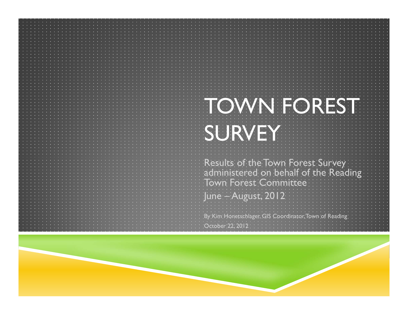Results of the Town Forest Survey administered on behalf of the Reading  $\,$ Town Forest Committee June – August, 2012

By Kim Honetschlager, GIS Coordinator, Town of Reading. October 22, 2012

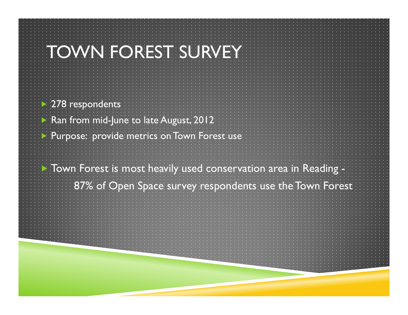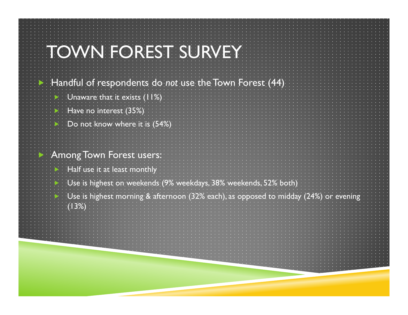| $\blacktriangleright$ . Handful of respondents do <i>not</i> use the Town Forest (44)                           |
|-----------------------------------------------------------------------------------------------------------------|
| Di Unaware that it exists (11%)                                                                                 |
| $\blacktriangleright$ : Have no interest (35%):                                                                 |
| Do not know where it is (54%)                                                                                   |
| <b>Among Town Forest users:</b>                                                                                 |
| Half use it at least monthly                                                                                    |
|                                                                                                                 |
| Use is highest on weekends (9% weekdays, 38% weekends, 52% both)                                                |
| $\Box$ Use is highest morning & afternoon (32% each), as opposed to midday (24%) or evening<br>$\langle$ (1:3%) |
|                                                                                                                 |
|                                                                                                                 |
|                                                                                                                 |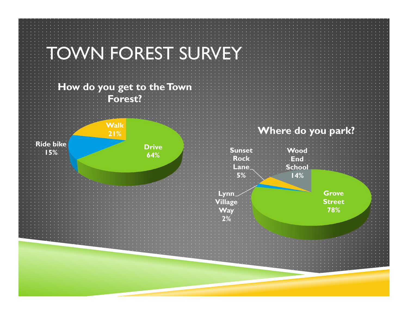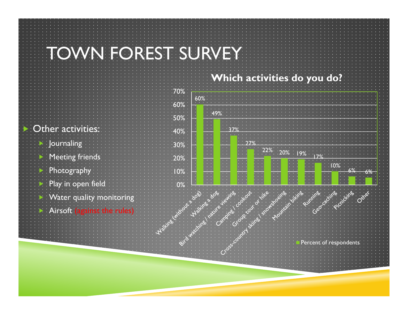#### **Which activities do you do?**

|                                    | 70%    |
|------------------------------------|--------|
|                                    | 60%    |
|                                    | 50%    |
| <b>Dentity Community Community</b> | $40\%$ |
| <b>E</b> Journaling                | 30%    |
| Meeting friends                    | 20%    |
| <b>Photography</b>                 | 10%    |
| Play in open field                 |        |
| Water quality monitoring           |        |
| Airsoft (against the rules)        |        |
|                                    |        |

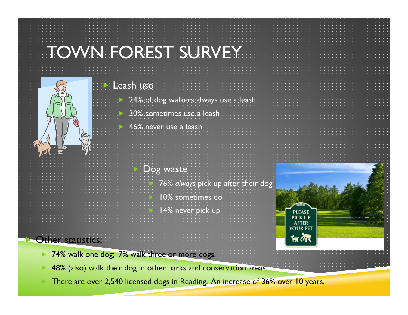|                       | <b>TOWN FOREST SURVEY</b>                                                    |                                                                            |
|-----------------------|------------------------------------------------------------------------------|----------------------------------------------------------------------------|
|                       | Leash use                                                                    |                                                                            |
|                       | 24% of dog walkers always use a leash                                        |                                                                            |
|                       | 30% sometimes use a leash                                                    |                                                                            |
|                       | 46% never use a leash                                                        |                                                                            |
|                       | Dog waste                                                                    |                                                                            |
|                       | 76% always pick up after their dog.<br>10% sometimes do<br>14% never pick up | 0000<br><b>PLEASE</b><br><b>PICK UP</b><br><b>AFTER</b><br><b>YOUR PET</b> |
| Other statistics:     |                                                                              | <sub>নি</sub> <i>ই</i> মি                                                  |
| $\blacktriangleright$ | 74% walk one dog; 7% walk three or more dogs.                                |                                                                            |
|                       | 48% (also) walk their dog in other parks and conservation areas.             |                                                                            |

There are over 2,540 licensed dogs in Reading. An increase of 36% over 10 years.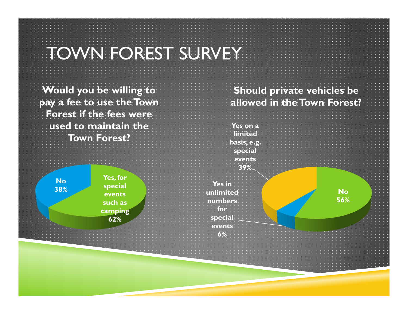**Would you be willing to pay a fee to use the Town Forest if the fees were used to maintain the Town Forest?**

> **No38%**

**Yes, for special events such as camping 62%**

#### **Should private vehicles be allowed in the Town Forest?**



**for special events6%**

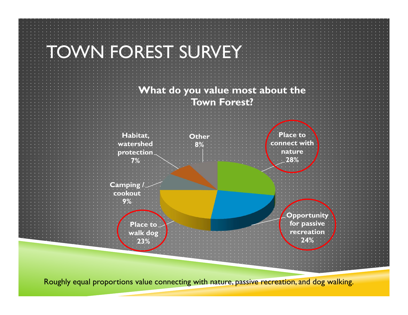

Roughly equal proportions value connecting with nature, passive recreation, and dog walking.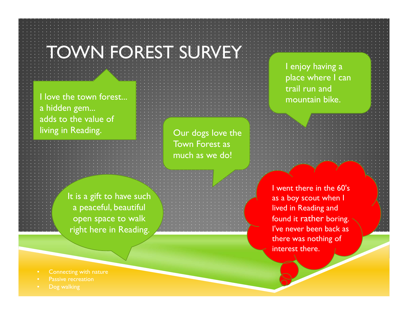I love the town forest... a hidden gem... adds to the value of living in Reading.

Our dogs love the Town Forest as much as we do!

It is a gift to have such a peaceful, beautiful open space to walk right here in Reading.

I went there in the 60's as a boy scout when I lived in Reading and found it rather boring. I've never been back as there was nothing of interest there.

I enjoy having a

trail run and

mountain bike.

place where I can

- •Connecting with nature
- Passive recreation
-